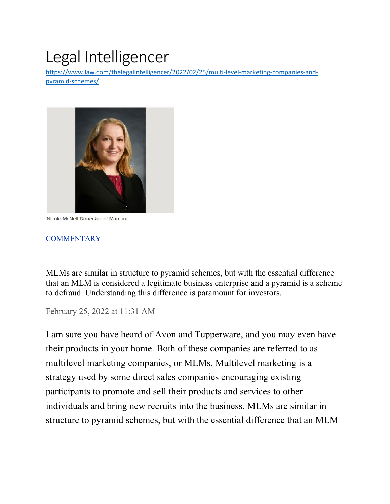# Legal Intelligencer

[https://www.law.com/thelegalintelligencer/2022/02/25/multi-level-marketing-companies-and](https://www.law.com/thelegalintelligencer/2022/02/25/multi-level-marketing-companies-and-pyramid-schemes/)[pyramid-schemes/](https://www.law.com/thelegalintelligencer/2022/02/25/multi-level-marketing-companies-and-pyramid-schemes/)



Nicole McNeil Donecker of Marcum.

#### **[COMMENTARY](https://www.law.com/thelegalintelligencer/commentary/)**

MLMs are similar in structure to pyramid schemes, but with the essential difference that an MLM is considered a legitimate business enterprise and a pyramid is a scheme to defraud. Understanding this difference is paramount for investors.

February 25, 2022 at 11:31 AM

I am sure you have heard of Avon and Tupperware, and you may even have their products in your home. Both of these companies are referred to as multilevel marketing companies, or MLMs. Multilevel marketing is a strategy used by some direct sales companies encouraging existing participants to promote and sell their products and services to other individuals and bring new recruits into the business. MLMs are similar in structure to pyramid schemes, but with the essential difference that an MLM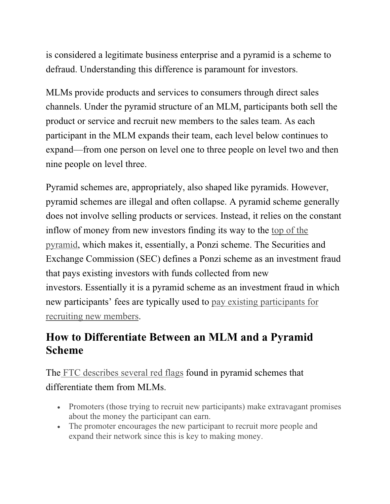is considered a legitimate business enterprise and a pyramid is a scheme to defraud. Understanding this difference is paramount for investors.

MLMs provide products and services to consumers through direct sales channels. Under the pyramid structure of an MLM, participants both sell the product or service and recruit new members to the sales team. As each participant in the MLM expands their team, each level below continues to expand—from one person on level one to three people on level two and then nine people on level three.

Pyramid schemes are, appropriately, also shaped like pyramids. However, pyramid schemes are illegal and often collapse. A pyramid scheme generally does not involve selling products or services. Instead, it relies on the constant inflow of money from new investors finding its way to the [top of the](https://www.investopedia.com/terms/p/pyramidscheme.asp)  [pyramid,](https://www.investopedia.com/terms/p/pyramidscheme.asp) which makes it, essentially, a Ponzi scheme. The Securities and Exchange Commission (SEC) defines a Ponzi scheme as an investment fraud that pays existing investors with funds collected from new investors. Essentially it is a pyramid scheme as an investment fraud in which new participants' fees are typically used to [pay existing participants for](https://www.investor.gov/introduction-investing/investing-basics/glossary/pyramid-schemes)  [recruiting new members.](https://www.investor.gov/introduction-investing/investing-basics/glossary/pyramid-schemes)

## **How to Differentiate Between an MLM and a Pyramid Scheme**

The [FTC describes several red flags](https://www.consumer.ftc.gov/articles/multi-level-marketing-businesses-and-pyramid-schemes) found in pyramid schemes that differentiate them from MLMs.

- Promoters (those trying to recruit new participants) make extravagant promises about the money the participant can earn.
- The promoter encourages the new participant to recruit more people and expand their network since this is key to making money.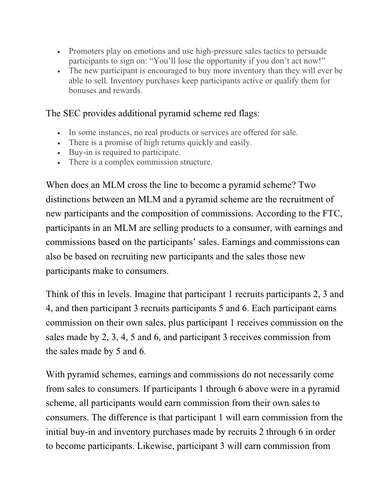- Promoters play on emotions and use high-pressure sales tactics to persuade participants to sign on: "You'll lose the opportunity if you don't act now!"
- The new participant is encouraged to buy more inventory than they will ever be able to sell. Inventory purchases keep participants active or qualify them for bonuses and rewards.

### The SEC provides additional pyramid scheme red flags:

- In some instances, no real products or services are offered for sale.
- There is a promise of high returns quickly and easily.
- Buy-in is required to participate.
- There is a complex commission structure.

When does an MLM cross the line to become a pyramid scheme? Two distinctions between an MLM and a pyramid scheme are the recruitment of new participants and the composition of commissions. According to the FTC, participants in an MLM are selling products to a consumer, with earnings and commissions based on the participants' sales. Earnings and commissions can also be based on recruiting new participants and the sales those new participants make to consumers.

Think of this in levels. Imagine that participant 1 recruits participants 2, 3 and 4, and then participant 3 recruits participants 5 and 6. Each participant earns commission on their own sales, plus participant 1 receives commission on the sales made by 2, 3, 4, 5 and 6, and participant 3 receives commission from the sales made by 5 and 6.

With pyramid schemes, earnings and commissions do not necessarily come from sales to consumers. If participants 1 through 6 above were in a pyramid scheme, all participants would earn commission from their own sales to consumers. The difference is that participant 1 will earn commission from the initial buy-in and inventory purchases made by recruits 2 through 6 in order to become participants. Likewise, participant 3 will earn commission from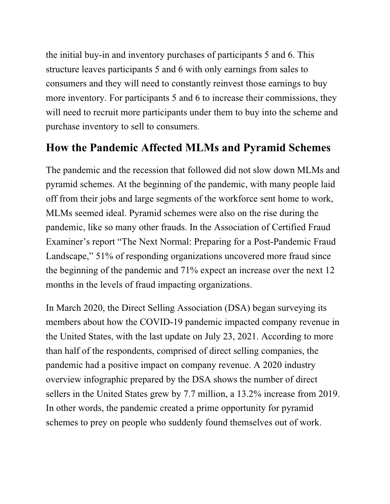the initial buy-in and inventory purchases of participants 5 and 6. This structure leaves participants 5 and 6 with only earnings from sales to consumers and they will need to constantly reinvest those earnings to buy more inventory. For participants 5 and 6 to increase their commissions, they will need to recruit more participants under them to buy into the scheme and purchase inventory to sell to consumers.

## **How the Pandemic Affected MLMs and Pyramid Schemes**

The pandemic and the recession that followed did not slow down MLMs and pyramid schemes. At the beginning of the pandemic, with many people laid off from their jobs and large segments of the workforce sent home to work, MLMs seemed ideal. Pyramid schemes were also on the rise during the pandemic, like so many other frauds. In the Association of Certified Fraud Examiner's report "The Next Normal: Preparing for a Post-Pandemic Fraud Landscape," 51% of responding organizations uncovered more fraud since the beginning of the pandemic and 71% expect an increase over the next 12 months in the levels of fraud impacting organizations.

In March 2020, the Direct Selling Association (DSA) began surveying its members about how the COVID-19 pandemic impacted company revenue in the United States, with the last update on July 23, 2021. According to more than half of the respondents, comprised of direct selling companies, the pandemic had a positive impact on company revenue. A 2020 industry overview infographic prepared by the DSA shows the number of direct sellers in the United States grew by 7.7 million, a 13.2% increase from 2019. In other words, the pandemic created a prime opportunity for pyramid schemes to prey on people who suddenly found themselves out of work.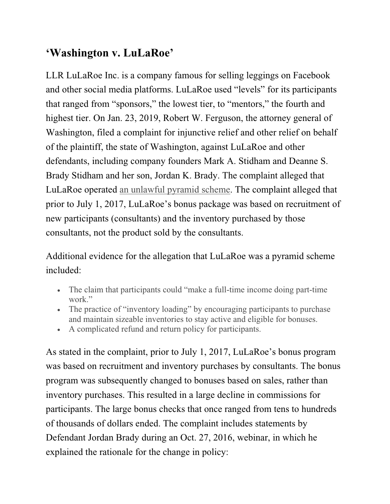## **'Washington v. LuLaRoe'**

LLR LuLaRoe Inc. is a company famous for selling leggings on Facebook and other social media platforms. LuLaRoe used "levels" for its participants that ranged from "sponsors," the lowest tier, to "mentors," the fourth and highest tier. On Jan. 23, 2019, Robert W. Ferguson, the attorney general of Washington, filed a complaint for injunctive relief and other relief on behalf of the plaintiff, the state of Washington, against LuLaRoe and other defendants, including company founders Mark A. Stidham and Deanne S. Brady Stidham and her son, Jordan K. Brady. The complaint alleged that LuLaRoe operated [an unlawful pyramid scheme.](https://agportal-s3bucket.s3.amazonaws.com/uploadedfiles/Another/News/Press_Releases/2019_01_23Complaint_Stamped.pdf) The complaint alleged that prior to July 1, 2017, LuLaRoe's bonus package was based on recruitment of new participants (consultants) and the inventory purchased by those consultants, not the product sold by the consultants.

Additional evidence for the allegation that LuLaRoe was a pyramid scheme included:

- The claim that participants could "make a full-time income doing part-time work."
- The practice of "inventory loading" by encouraging participants to purchase and maintain sizeable inventories to stay active and eligible for bonuses.
- A complicated refund and return policy for participants.

As stated in the complaint, prior to July 1, 2017, LuLaRoe's bonus program was based on recruitment and inventory purchases by consultants. The bonus program was subsequently changed to bonuses based on sales, rather than inventory purchases. This resulted in a large decline in commissions for participants. The large bonus checks that once ranged from tens to hundreds of thousands of dollars ended. The complaint includes statements by Defendant Jordan Brady during an Oct. 27, 2016, webinar, in which he explained the rationale for the change in policy: